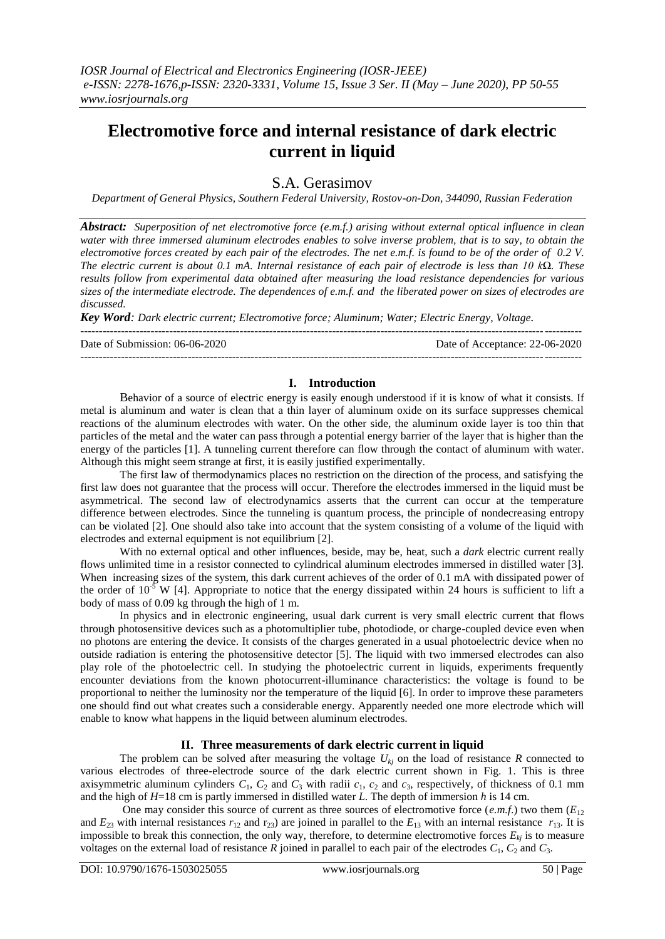# **Electromotive force and internal resistance of dark electric current in liquid**

# S.A. Gerasimov

*Department of General Physics, Southern Federal University, Rostov-on-Don, 344090, Russian Federation*

*Abstract: Superposition of net electromotive force (e.m.f.) arising without external optical influence in clean water with three immersed aluminum electrodes enables to solve inverse problem, that is to say, to obtain the electromotive forces created by each pair of the electrodes. The net e.m.f. is found to be of the order of 0.2 V. The electric current is about 0.1 mA. Internal resistance of each pair of electrode is less than 10 kΩ. These results follow from experimental data obtained after measuring the load resistance dependencies for various sizes of the intermediate electrode. The dependences of e.m.f. and the liberated power on sizes of electrodes are discussed.*

*Key Word: Dark electric current; Electromotive force; Aluminum; Water; Electric Energy, Voltage.*

---------------------------------------------------------------------------------------------------------------------------------------

Date of Submission: 06-06-2020 Date of Acceptance: 22-06-2020

### **I. Introduction**

---------------------------------------------------------------------------------------------------------------------------------------

Behavior of a source of electric energy is easily enough understood if it is know of what it consists. If metal is aluminum and water is clean that a thin layer of aluminum oxide on its surface suppresses chemical reactions of the aluminum electrodes with water. On the other side, the aluminum oxide layer is too thin that particles of the metal and the water can pass through a potential energy barrier of the layer that is higher than the energy of the particles [1]. A tunneling current therefore can flow through the contact of aluminum with water. Although this might seem strange at first, it is easily justified experimentally.

The first law of thermodynamics places no restriction on the direction of the process, and satisfying the first law does not guarantee that the process will occur. Therefore the electrodes immersed in the liquid must be asymmetrical. The second law of electrodynamics asserts that the current can occur at the temperature difference between electrodes. Since the tunneling is quantum process, the principle of nondecreasing entropy can be violated [2]. One should also take into account that the system consisting of a volume of the liquid with electrodes and external equipment is not equilibrium [2].

With no external optical and other influences, beside, may be, heat, such a *dark* electric current really flows unlimited time in a resistor connected to cylindrical aluminum electrodes immersed in distilled water [3]. When increasing sizes of the system, this dark current achieves of the order of 0.1 mA with dissipated power of the order of  $10^{-5}$  W [4]. Appropriate to notice that the energy dissipated within 24 hours is sufficient to lift a body of mass of 0.09 kg through the high of 1 m.

In physics and in electronic engineering, usual dark current is very small electric current that flows through photosensitive devices such as a photomultiplier tube, photodiode, or charge-coupled device even when no photons are entering the device. It consists of the charges generated in a usual photoelectric device when no outside radiation is entering the photosensitive detector [5]. The liquid with two immersed electrodes can also play role of the photoelectric cell. In studying the photoelectric current in liquids, experiments frequently encounter deviations from the known photocurrent-illuminance characteristics: the voltage is found to be proportional to neither the luminosity nor the temperature of the liquid [6]. In order to improve these parameters one should find out what creates such a considerable energy. Apparently needed one more electrode which will enable to know what happens in the liquid between aluminum electrodes.

## **II. Three measurements of dark electric current in liquid**

The problem can be solved after measuring the voltage  $U_{ki}$  on the load of resistance  $R$  connected to various electrodes of three-electrode source of the dark electric current shown in Fig. 1. This is three axisymmetric aluminum cylinders  $C_1$ ,  $C_2$  and  $C_3$  with radii  $c_1$ ,  $c_2$  and  $c_3$ , respectively, of thickness of 0.1 mm and the high of *H*=18 cm is partly immersed in distilled water *L*. The depth of immersion *h* is 14 cm.

One may consider this source of current as three sources of electromotive force  $(e.m.f.)$  two them  $(E_{12})$ and  $E_{23}$  with internal resistances  $r_{12}$  and  $r_{23}$ ) are joined in parallel to the  $E_{13}$  with an internal resistance  $r_{13}$ . It is impossible to break this connection, the only way, therefore, to determine electromotive forces  $E_{ki}$  is to measure voltages on the external load of resistance  $R$  joined in parallel to each pair of the electrodes  $C_1$ ,  $C_2$  and  $C_3$ .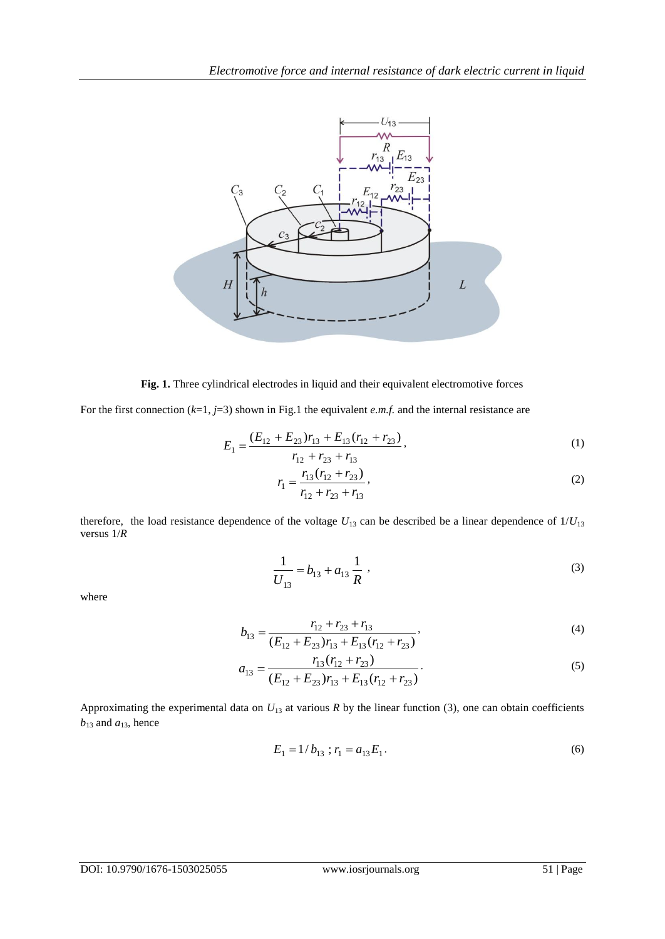

**Fig. 1.** Three cylindrical electrodes in liquid and their equivalent electromotive forces

For the first connection  $(k=1, j=3)$  shown in Fig.1 the equivalent *e.m.f.* and the internal resistance are

$$
E_1 = \frac{(E_{12} + E_{23})r_{13} + E_{13}(r_{12} + r_{23})}{r_{12} + r_{23} + r_{13}},
$$
\n(1)

$$
r_1 = \frac{r_{13}(r_{12} + r_{23})}{r_{12} + r_{23} + r_{13}},
$$
\n(2)

therefore, the load resistance dependence of the voltage  $U_{13}$  can be described be a linear dependence of  $1/U_{13}$ versus 1/*R*

$$
\frac{1}{U_{13}} = b_{13} + a_{13} \frac{1}{R} \tag{3}
$$

where

$$
b_{13} = \frac{r_{12} + r_{23} + r_{13}}{(E_{12} + E_{23})r_{13} + E_{13}(r_{12} + r_{23})},
$$
\n(4)

$$
a_{13} = \frac{r_{13}(r_{12} + r_{23})}{(E_{12} + E_{23})r_{13} + E_{13}(r_{12} + r_{23})}.
$$
\n(5)

Approximating the experimental data on  $U_{13}$  at various  $R$  by the linear function (3), one can obtain coefficients  $b_{13}$  and  $a_{13}$ , hence

$$
E_1 = 1/b_{13} ; r_1 = a_{13} E_1.
$$
 (6)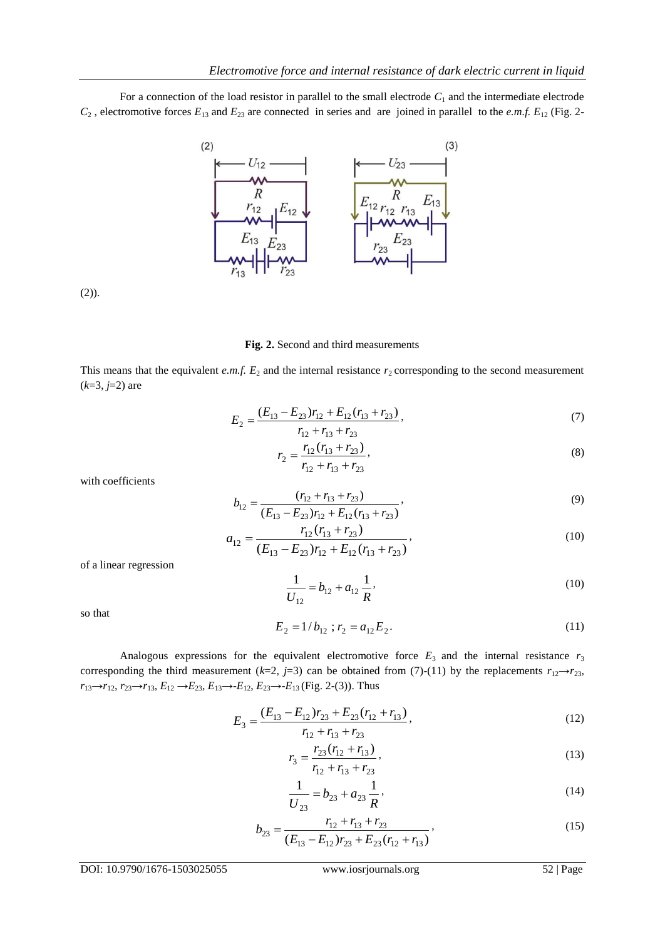For a connection of the load resistor in parallel to the small electrode  $C_1$  and the intermediate electrode  $C_2$ , electromotive forces  $E_{13}$  and  $E_{23}$  are connected in series and are joined in parallel to the *e.m.f.*  $E_{12}$  (Fig. 2-



 $(2)$ ).

#### **Fig. 2.** Second and third measurements

This means that the equivalent *e.m.f.*  $E_2$  and the internal resistance  $r_2$  corresponding to the second measurement (*k*=3, *j*=2) are

$$
E_2 = \frac{(E_{13} - E_{23})r_{12} + E_{12}(r_{13} + r_{23})}{r_{12} + r_{13} + r_{23}},
$$
\n(7)

$$
r_2 = \frac{r_{12}(r_{13} + r_{23})}{r_{12} + r_{13} + r_{23}},
$$
\n(8)

with coefficients

$$
b_{12} = \frac{(r_{12} + r_{13} + r_{23})}{(E_{13} - E_{23})r_{12} + E_{12}(r_{13} + r_{23})},
$$
\n(9)

$$
a_{12} = \frac{r_{12}(r_{13} + r_{23})}{(E_{13} - E_{23})r_{12} + E_{12}(r_{13} + r_{23})},
$$
\n(10)

of a linear regression

$$
\frac{1}{U_{12}} = b_{12} + a_{12} \frac{1}{R},\tag{10}
$$

so that

$$
E_2 = 1/b_{12} ; r_2 = a_{12} E_2.
$$
 (11)

Analogous expressions for the equivalent electromotive force  $E_3$  and the internal resistance  $r_3$ corresponding the third measurement ( $k=2$ ,  $j=3$ ) can be obtained from (7)-(11) by the replacements  $r_{12}\rightarrow r_{23}$ , *r*<sub>13</sub>→*r*<sub>12</sub>, *r*<sub>23</sub>→*r*<sub>13</sub>, *E*<sub>12</sub> →*E*<sub>23</sub>, *E*<sub>13</sub>→*-E*<sub>12</sub>, *E*<sub>23</sub>→*-E*<sub>13</sub> (Fig. 2-(3)). Thus

$$
E_3 = \frac{(E_{13} - E_{12})r_{23} + E_{23}(r_{12} + r_{13})}{r_{12} + r_{13} + r_{23}},
$$
\n(12)

$$
r_3 = \frac{r_{23}(r_{12} + r_{13})}{r_{12} + r_{13} + r_{23}},
$$
\n(13)

$$
\frac{1}{U_{23}} = b_{23} + a_{23} \frac{1}{R},
$$
\n(14)

$$
b_{23} = \frac{r_{12} + r_{13} + r_{23}}{(E_{13} - E_{12})r_{23} + E_{23}(r_{12} + r_{13})},
$$
\n(15)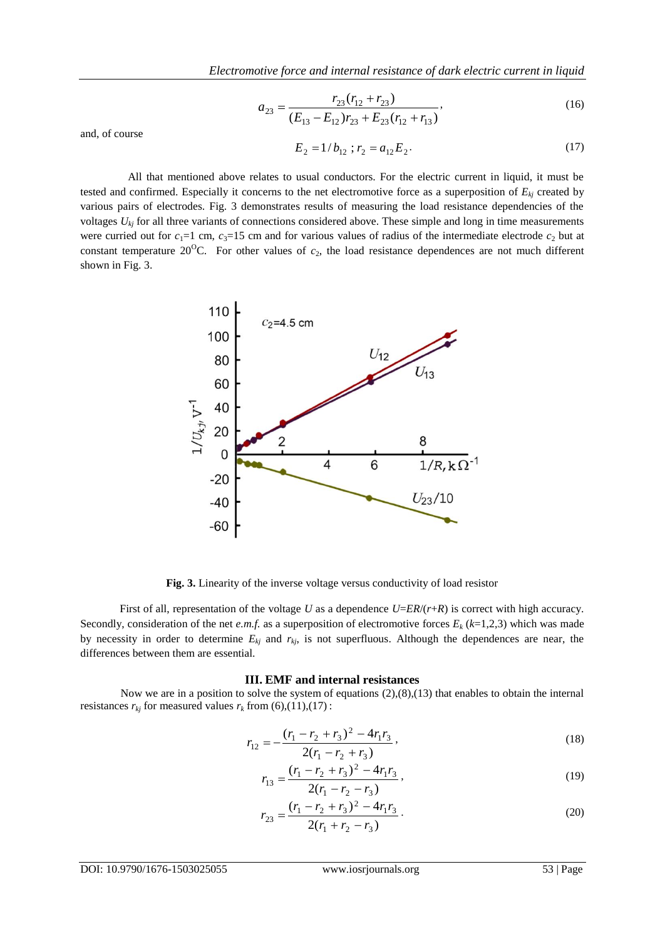$$
a_{23} = \frac{r_{23}(r_{12} + r_{23})}{(E_{13} - E_{12})r_{23} + E_{23}(r_{12} + r_{13})},
$$
\n(16)

and, of course

$$
E_2 = 1/b_{12} ; r_2 = a_{12} E_2.
$$
 (17)

All that mentioned above relates to usual conductors. For the electric current in liquid, it must be tested and confirmed. Especially it concerns to the net electromotive force as a superposition of *Ekj* created by various pairs of electrodes. Fig. 3 demonstrates results of measuring the load resistance dependencies of the voltages  $U_{kj}$  for all three variants of connections considered above. These simple and long in time measurements were curried out for  $c_1=1$  cm,  $c_3=15$  cm and for various values of radius of the intermediate electrode  $c_2$  but at constant temperature  $20^{\circ}$ C. For other values of  $c_2$ , the load resistance dependences are not much different shown in Fig. 3.



**Fig. 3.** Linearity of the inverse voltage versus conductivity of load resistor

First of all, representation of the voltage *U* as a dependence *U*=*ER*/(*r*+*R*) is correct with high accuracy. Secondly, consideration of the net *e.m.f.* as a superposition of electromotive forces  $E_k$  ( $k=1,2,3$ ) which was made by necessity in order to determine  $E_{kj}$  and  $r_{kj}$ , is not superfluous. Although the dependences are near, the differences between them are essential.

#### **III. EMF and internal resistances**

Now we are in a position to solve the system of equations (2),(8),(13) that enables to obtain the internal resistances  $r_{kj}$  for measured values  $r_k$  from (6),(11),(17) :

$$
r_{12} = -\frac{(r_1 - r_2 + r_3)^2 - 4r_1r_3}{2(r_1 - r_2 + r_3)},
$$
\n(18)

$$
r_{13} = \frac{(r_1 - r_2 + r_3)^2 - 4r_1r_3}{2(r_1 - r_2 - r_3)},
$$
\n(19)

$$
r_{23} = \frac{(r_1 - r_2 + r_3)^2 - 4r_1r_3}{2(r_1 + r_2 - r_3)}.
$$
\n(20)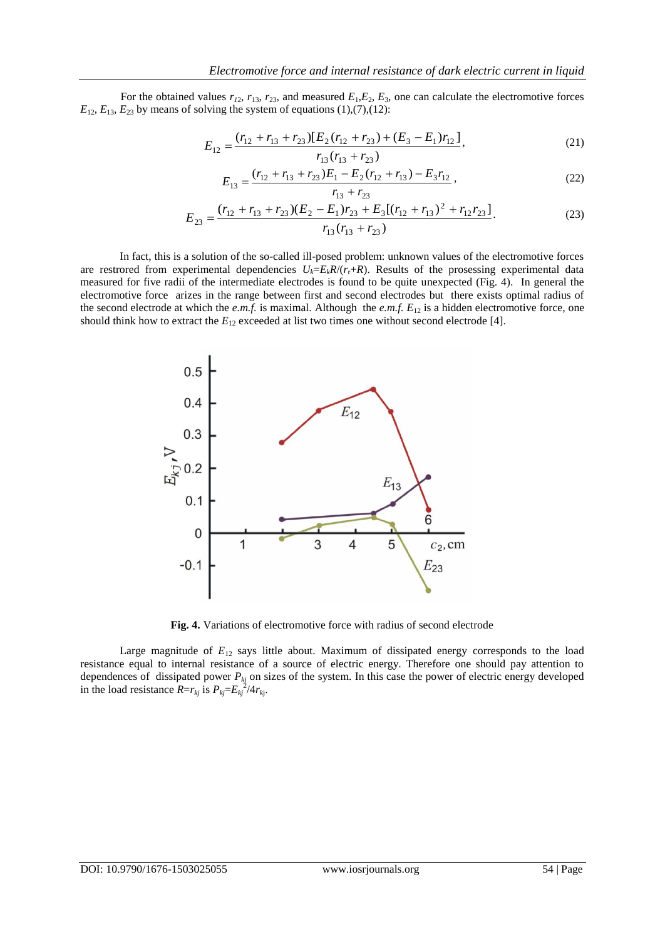For the obtained values  $r_{12}$ ,  $r_{13}$ ,  $r_{23}$ , and measured  $E_1$ ,  $E_2$ ,  $E_3$ , one can calculate the electromotive forces  $E_{12}$ ,  $E_{13}$ ,  $E_{23}$  by means of solving the system of equations (1),(7),(12):

$$
E_{12} = \frac{(r_{12} + r_{13} + r_{23})[E_2(r_{12} + r_{23}) + (E_3 - E_1)r_{12}]}{r_{13}(r_{13} + r_{23})},
$$
\n(21)

$$
E_{13} = \frac{(r_{12} + r_{13} + r_{23})E_1 - E_2(r_{12} + r_{13}) - E_3r_{12}}{r_{13} + r_{23}},
$$
\n(22)

$$
E_{23} = \frac{(r_{12} + r_{13} + r_{23})(E_2 - E_1)r_{23} + E_3[(r_{12} + r_{13})^2 + r_{12}r_{23}]}{r_{13}(r_{13} + r_{23})}.
$$
 (23)

In fact, this is a solution of the so-called ill-posed problem: unknown values of the electromotive forces are restrored from experimental dependencies  $U_k = E_k R/(r_r + R)$ . Results of the prosessing experimental data measured for five radii of the intermediate electrodes is found to be quite unexpected (Fig. 4). In general the electromotive force arizes in the range between first and second electrodes but there exists optimal radius of the second electrode at which the *e.m.f.* is maximal. Although the *e.m.f.*  $E_{12}$  is a hidden electromotive force, one should think how to extract the  $E_{12}$  exceeded at list two times one without second electrode [4].



**Fig. 4.** Variations of electromotive force with radius of second electrode

Large magnitude of  $E_{12}$  says little about. Maximum of dissipated energy corresponds to the load resistance equal to internal resistance of a source of electric energy. Therefore one should pay attention to dependences of dissipated power *Pkj* on sizes of the system. In this case the power of electric energy developed in the load resistance  $R=r_{kj}$  is  $P_{kj}=E_{kj}^{2}/4r_{kj}$ .